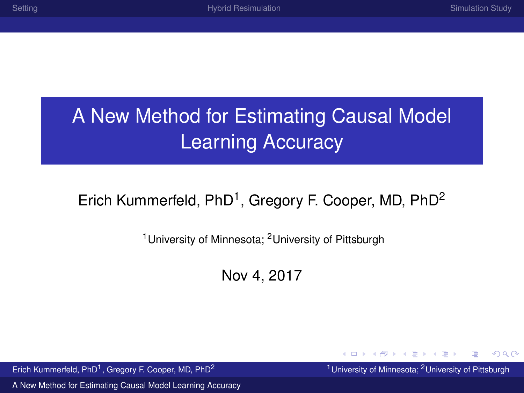$299$ 

# <span id="page-0-0"></span>A New Method for Estimating Causal Model Learning Accuracy

#### Erich Kummerfeld, PhD<sup>1</sup>, Gregory F. Cooper, MD, PhD<sup>2</sup>

<sup>1</sup> University of Minnesota; <sup>2</sup> University of Pittsburgh

Nov 4, 2017

Erich Kummerfeld, PhD<sup>1</sup>, Gregory F, Cooper, MD, PhD<sup>2</sup>

<sup>1</sup> University of Minnesota; <sup>2</sup> University of Pittsburgh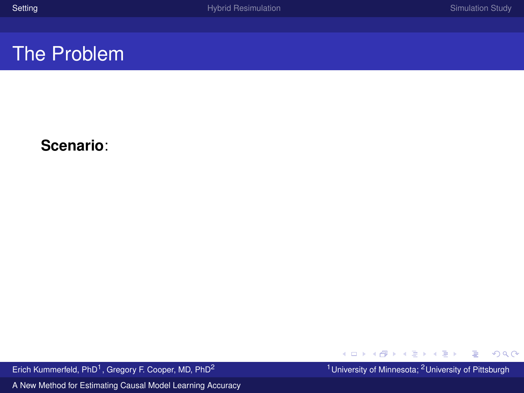#### <span id="page-1-0"></span>**Scenario**:

Erich Kummerfeld, PhD<sup>1</sup>, Gregory F. Cooper, MD, PhD<sup>2</sup>

<sup>1</sup> University of Minnesota; <sup>2</sup> University of Pittsburgh

 $290$ 

∍

メロトメ 御 トメ 重 トメ 重 ト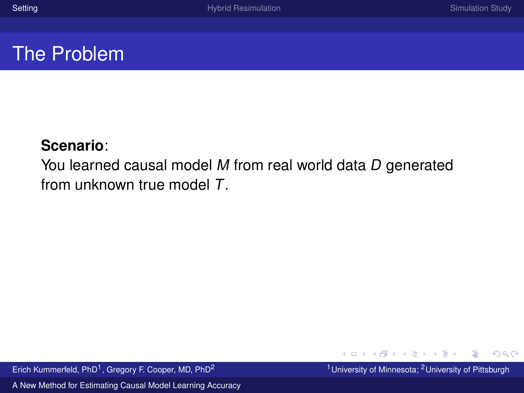#### **Scenario**:

You learned causal model M from real world data D generated from unknown true model T.

Erich Kummerfeld, PhD<sup>1</sup>, Gregory F. Cooper, MD, PhD<sup>2</sup>

[A New Method for Estimating Causal Model Learning Accuracy](#page-0-0)

<sup>1</sup> University of Minnesota; <sup>2</sup> University of Pittsburgh

 $299$ 

 $\left\{ \begin{array}{ccc} 1 & 0 & 0 \\ 0 & 1 & 0 \end{array} \right. \times \left\{ \begin{array}{ccc} \frac{1}{2} & 0 & 0 \\ 0 & 0 & 0 \end{array} \right. \times \left\{ \begin{array}{ccc} \frac{1}{2} & 0 & 0 \\ 0 & 0 & 0 \end{array} \right.$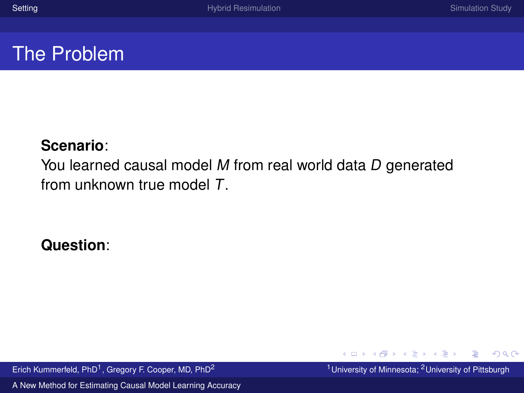#### **Scenario**:

You learned causal model M from real world data D generated from unknown true model T.

**Question**:

Erich Kummerfeld, PhD<sup>1</sup>, Gregory F. Cooper, MD, PhD<sup>2</sup>

[A New Method for Estimating Causal Model Learning Accuracy](#page-0-0)

<sup>1</sup> University of Minnesota; <sup>2</sup> University of Pittsburgh

 $299$ 

 $\left\{ \begin{array}{ccc} 1 & 0 & 0 \\ 0 & 1 & 0 \end{array} \right. \times \left\{ \begin{array}{ccc} \frac{1}{2} & 0 & 0 \\ 0 & 0 & 0 \end{array} \right. \times \left\{ \begin{array}{ccc} \frac{1}{2} & 0 & 0 \\ 0 & 0 & 0 \end{array} \right.$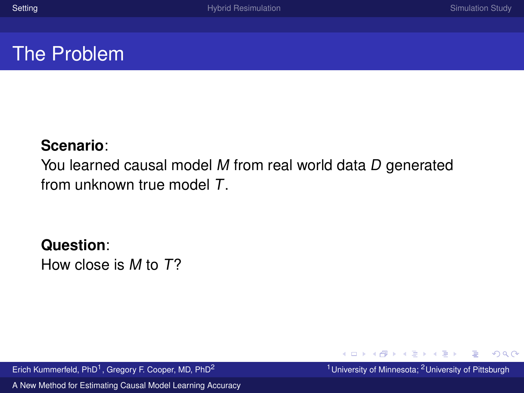#### **Scenario**:

You learned causal model M from real world data D generated from unknown true model T.

#### **Question**:

How close is M to T?

Erich Kummerfeld, PhD<sup>1</sup>, Gregory F. Cooper, MD, PhD<sup>2</sup>

[A New Method for Estimating Causal Model Learning Accuracy](#page-0-0)

<sup>1</sup> University of Minnesota; <sup>2</sup> University of Pittsburgh

 $299$ 

 $\left\{ \begin{array}{ccc} 1 & 0 & 0 \\ 0 & 1 & 0 \end{array} \right. \times \left\{ \begin{array}{ccc} \frac{1}{2} & 0 & 0 \\ 0 & 0 & 0 \end{array} \right. \times \left\{ \begin{array}{ccc} \frac{1}{2} & 0 & 0 \\ 0 & 0 & 0 \end{array} \right.$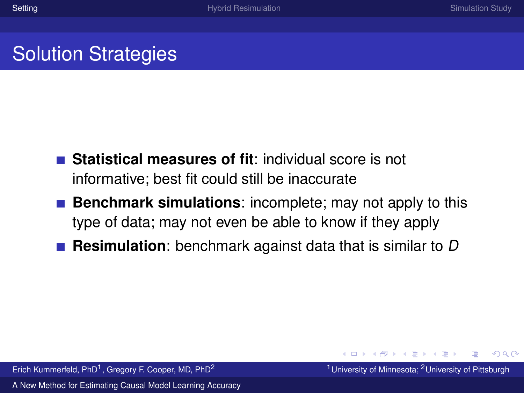## Solution Strategies

- **Statistical measures of fit**: individual score is not informative; best fit could still be inaccurate
- **Benchmark simulations**: incomplete; may not apply to this type of data; may not even be able to know if they apply
- **Resimulation**: benchmark against data that is similar to D

 $\Omega$ 

イロト イ押ト イヨト イヨト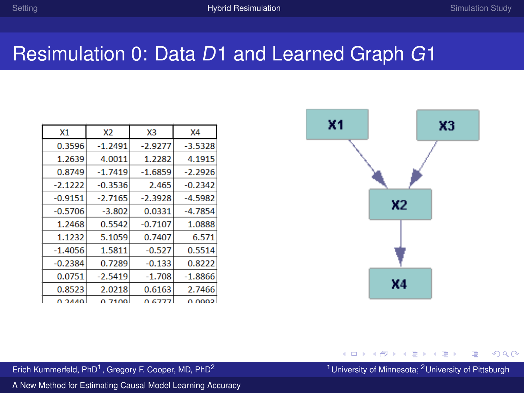#### <span id="page-6-0"></span>Resimulation 0: Data D1 and Learned Graph G1

| X1        | X <sub>2</sub> | X <sub>3</sub> | X <sub>4</sub> |
|-----------|----------------|----------------|----------------|
| 0.3596    | $-1.2491$      | $-2.9277$      | $-3.5328$      |
| 1.2639    | 4.0011         | 1.2282         | 4.1915         |
| 0.8749    | $-1.7419$      | $-1.6859$      | $-2.2926$      |
| $-2.1222$ | $-0.3536$      | 2.465          | $-0.2342$      |
| $-0.9151$ | $-2.7165$      | $-2.3928$      | $-4.5982$      |
| $-0.5706$ | $-3.802$       | 0.0331         | $-4.7854$      |
| 1.2468    | 0.5542         | $-0.7107$      | 1.0888         |
| 1.1232    | 5.1059         | 0.7407         | 6.571          |
| $-1.4056$ | 1.5811         | $-0.527$       | 0.5514         |
| $-0.2384$ | 0.7289         | $-0.133$       | 0.8222         |
| 0.0751    | $-2.5419$      | $-1.708$       | $-1.8866$      |
| 0.8523    | 2.0218         | 0.6163         | 2.7466         |
| 0.2110    | 0.7100         | 0.0777         | o ogga         |



#### $299$

Erich Kummerfeld, PhD<sup>1</sup>, Gregory F. Cooper, MD, PhD<sup>2</sup>

<sup>1</sup> University of Minnesota; <sup>2</sup> University of Pittsburgh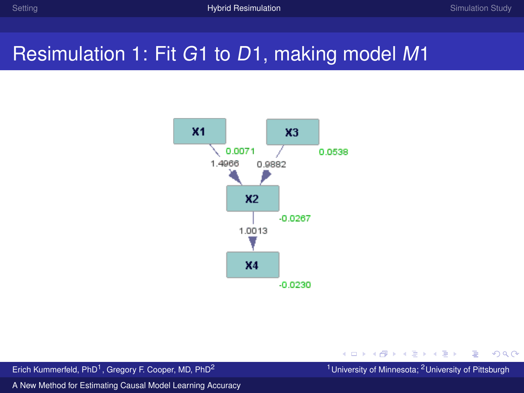## Resimulation 1: Fit G1 to D1, making model M1



Erich Kummerfeld, PhD<sup>1</sup>, Gregory F. Cooper, MD, PhD<sup>2</sup>

<sup>1</sup> University of Minnesota; <sup>2</sup> University of Pittsburgh

 $299$ 

 $\left\{ \begin{array}{ccc} 1 & 0 & 0 \\ 0 & 1 & 0 \end{array} \right. \times \left\{ \begin{array}{ccc} \frac{1}{2} & 0 & 0 \\ 0 & 0 & 0 \end{array} \right. \times \left\{ \begin{array}{ccc} \frac{1}{2} & 0 & 0 \\ 0 & 0 & 0 \end{array} \right.$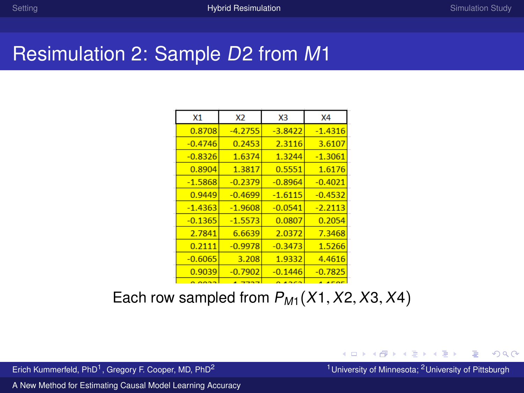## Resimulation 2: Sample D2 from M1

| X1        | <b>X2</b> | X3        | X4        |
|-----------|-----------|-----------|-----------|
| 0.8708    | $-4.2755$ | $-3.8422$ | $-1.4316$ |
| $-0.4746$ | 0.2453    | 2.3116    | 3.6107    |
| $-0.8326$ | 1.6374    | 1.3244    | $-1.3061$ |
| 0.8904    | 1.3817    | 0.5551    | 1.6176    |
| $-1.5868$ | $-0.2379$ | $-0.8964$ | $-0.4021$ |
| 0.9449    | $-0.4699$ | $-1.6115$ | $-0.4532$ |
| $-1.4363$ | $-1.9608$ | $-0.0541$ | $-2.2113$ |
| $-0.1365$ | $-1.5573$ | 0.0807    | 0.2054    |
| 2.7841    | 6.6639    | 2.0372    | 7.3468    |
| 0.2111    | $-0.9978$ | $-0.3473$ | 1.5266    |
| $-0.6065$ | 3.208     | 1.9332    | 4.4616    |
| 0.9039    | $-0.7902$ | $-0.1446$ | $-0.7825$ |
|           |           |           |           |

#### Each row sampled from  $P_{M1}(X1, X2, X3, X4)$

Erich Kummerfeld, PhD<sup>1</sup>, Gregory F. Cooper, MD, PhD<sup>2</sup>

<sup>1</sup> University of Minnesota; <sup>2</sup> University of Pittsburgh

 $QQ$ 

 $\left\{ \begin{array}{ccc} 1 & 0 & 0 \\ 0 & 1 & 0 \end{array} \right. \times \left\{ \begin{array}{ccc} \frac{1}{2} & 0 & 0 \\ 0 & 0 & 0 \end{array} \right. \times \left\{ \begin{array}{ccc} \frac{1}{2} & 0 & 0 \\ 0 & 0 & 0 \end{array} \right.$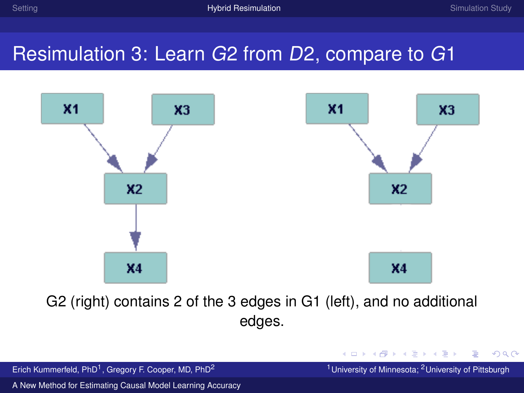KID KAR KE KIEK E YORG

## Resimulation 3: Learn G2 from D2, compare to G1



G2 (right) contains 2 of the 3 edges in G1 (left), and no additional edges.

| Erich Kummerfeld, PhD <sup>1</sup> , Gregory F. Cooper, MD, PhD <sup>2</sup> | <sup>1</sup> University of Minnesota; <sup>2</sup> University of Pittsburgh |
|------------------------------------------------------------------------------|-----------------------------------------------------------------------------|
| A New Method for Estimating Causal Model Learning Accuracy                   |                                                                             |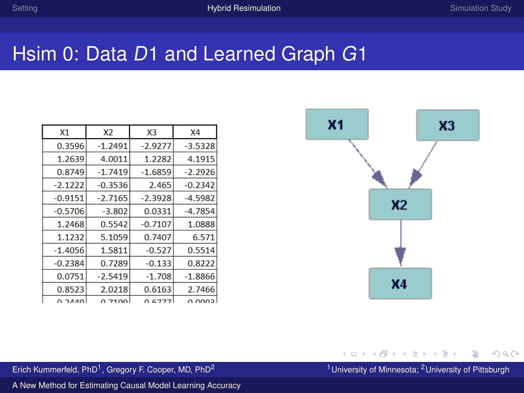## Hsim 0: Data D1 and Learned Graph G1

| X1        | <b>X2</b> | X <sub>3</sub> | X <sub>4</sub> |
|-----------|-----------|----------------|----------------|
| 0.3596    | $-1.2491$ | $-2.9277$      | $-3.5328$      |
| 1.2639    | 4.0011    | 1.2282         | 4.1915         |
| 0.8749    | $-1.7419$ | $-1.6859$      | $-2.2926$      |
| $-2.1222$ | $-0.3536$ | 2.465          | $-0.2342$      |
| $-0.9151$ | $-2.7165$ | $-2.3928$      | $-4.5982$      |
| $-0.5706$ | $-3.802$  | 0.0331         | $-4.7854$      |
| 1.2468    | 0.5542    | $-0.7107$      | 1.0888         |
| 1.1232    | 5.1059    | 0.7407         | 6.571          |
| $-1.4056$ | 1.5811    | $-0.527$       | 0.5514         |
| $-0.2384$ | 0.7289    | $-0.133$       | 0.8222         |
| 0.0751    | $-2.5419$ | $-1.708$       | $-1.8866$      |
| 0.8523    | 2.0218    | 0.6163         | 2.7466         |
| o a so    | 0.7100    | 0.C777         | n nnna         |



#### **K ロ ▶ K 御 ▶ K 君 ▶ K 君 ▶**  $299$

Erich Kummerfeld, PhD<sup>1</sup>, Gregory F. Cooper, MD, PhD<sup>2</sup>

<sup>1</sup> University of Minnesota; <sup>2</sup> University of Pittsburgh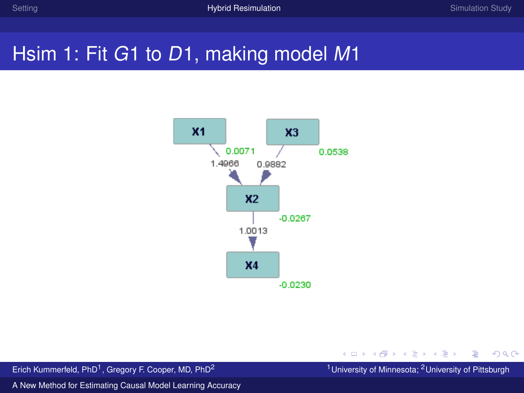## Hsim 1: Fit G1 to D1, making model M1



**K ロ ▶ K 御 ▶ K 君 ▶ K 君 ▶** ∍  $299$ 

Erich Kummerfeld, PhD<sup>1</sup>, Gregory F. Cooper, MD, PhD<sup>2</sup>

<sup>1</sup> University of Minnesota; <sup>2</sup> University of Pittsburgh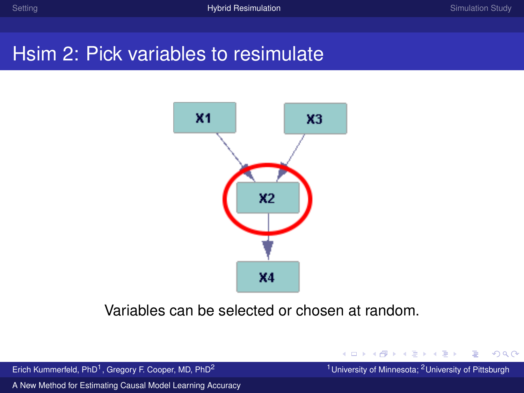## Hsim 2: Pick variables to resimulate



Variables can be selected or chosen at random.

Erich Kummerfeld, PhD<sup>1</sup>, Gregory F. Cooper, MD, PhD<sup>2</sup>

<sup>1</sup> University of Minnesota; <sup>2</sup> University of Pittsburgh

 $299$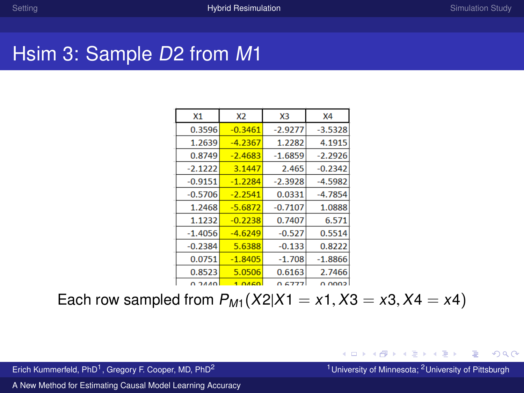## Hsim 3: Sample D2 from M1

| X1        | X2        | XЗ        | <b>X4</b> |
|-----------|-----------|-----------|-----------|
| 0.3596    | $-0.3461$ | $-2.9277$ | $-3.5328$ |
| 1.2639    | $-4.2367$ | 1.2282    | 4.1915    |
| 0.8749    | $-2.4683$ | $-1.6859$ | $-2.2926$ |
| $-2.1222$ | 3.1447    | 2.465     | $-0.2342$ |
| $-0.9151$ | $-1.2284$ | $-2.3928$ | $-4.5982$ |
| $-0.5706$ | $-2.2541$ | 0.0331    | $-4.7854$ |
| 1.2468    | $-5.6872$ | $-0.7107$ | 1.0888    |
| 1.1232    | $-0.2238$ | 0.7407    | 6.571     |
| $-1.4056$ | $-4.6249$ | $-0.527$  | 0.5514    |
| $-0.2384$ | 5.6388    | $-0.133$  | 0.8222    |
| 0.0751    | $-1.8405$ | $-1.708$  | $-1.8866$ |
| 0.8523    | 5.0506    | 0.6163    | 2.7466    |
| n awa     | 1.0450    | 0.6777    | n ngab    |

Each row sampled from  $P_{M1}(X2|X1 = x1, X3 = x3, X4 = x4)$ 

Erich Kummerfeld, PhD<sup>1</sup>, Gregory F. Cooper, MD, PhD<sup>2</sup>

<sup>1</sup> University of Minnesota; <sup>2</sup> University of Pittsburgh

 $299$ 

イロト イ押 トイヨト イヨト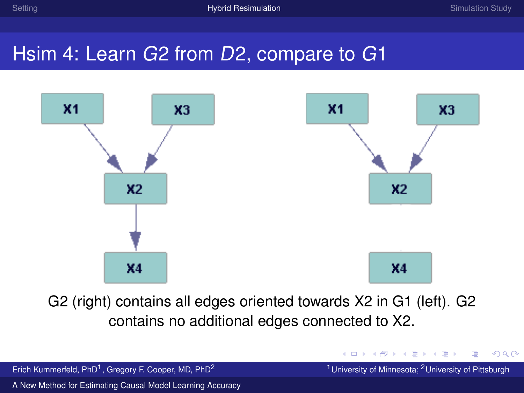## Hsim 4: Learn G2 from D2, compare to G1



G2 (right) contains all edges oriented towards X2 in G1 (left). G2 contains no additional edges connected to X2.

Erich Kummerfeld, PhD<sup>1</sup>, Gregory F. Cooper, MD, PhD<sup>2</sup>

<sup>1</sup> University of Minnesota; <sup>2</sup> University of Pittsburgh

 $299$ 

 $\left\{ \begin{array}{ccc} 1 & 0 & 0 \\ 0 & 1 & 0 \end{array} \right. \times \left\{ \begin{array}{ccc} \frac{1}{2} & 0 & 0 \\ 0 & 0 & 0 \end{array} \right. \times \left\{ \begin{array}{ccc} \frac{1}{2} & 0 & 0 \\ 0 & 0 & 0 \end{array} \right.$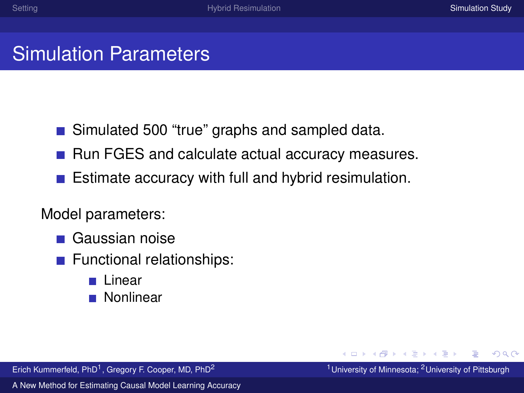## <span id="page-15-0"></span>Simulation Parameters

- Simulated 500 "true" graphs and sampled data.
- $\blacksquare$  Run FGES and calculate actual accuracy measures.
- $\blacksquare$  Estimate accuracy with full and hybrid resimulation.

#### Model parameters:

- Gaussian noise
- **Functional relationships:** 
	- **Linear**
	- Nonlinear

Erich Kummerfeld, PhD<sup>1</sup>, Gregory F. Cooper, MD, PhD<sup>2</sup>

 $QQ$ 

イロメイタ メイヨメイヨ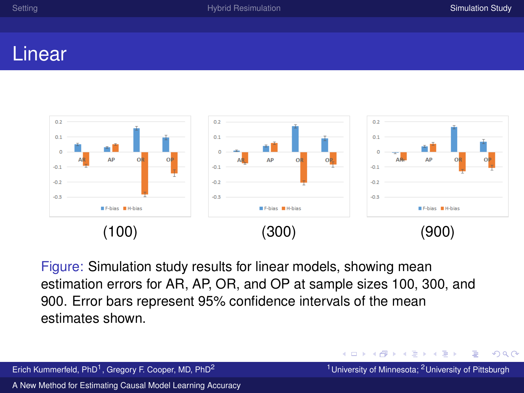#### Linear



Figure: Simulation study results for linear models, showing mean estimation errors for AR, AP, OR, and OP at sample sizes 100, 300, and 900. Error bars represent 95% confidence intervals of the mean estimates shown.

 $QQ$ 

イロト イ押ト イヨト イヨト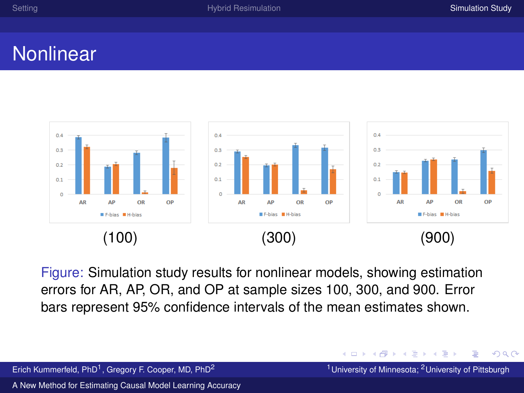### **Nonlinear**



Figure: Simulation study results for nonlinear models, showing estimation errors for AR, AP, OR, and OP at sample sizes 100, 300, and 900. Error bars represent 95% confidence intervals of the mean estimates shown.

Erich Kummerfeld, PhD<sup>1</sup>, Gregory F, Cooper, MD, PhD<sup>2</sup>

Ξ, <sup>1</sup> University of Minnesota; <sup>2</sup> University of Pittsburgh

 $QQ$